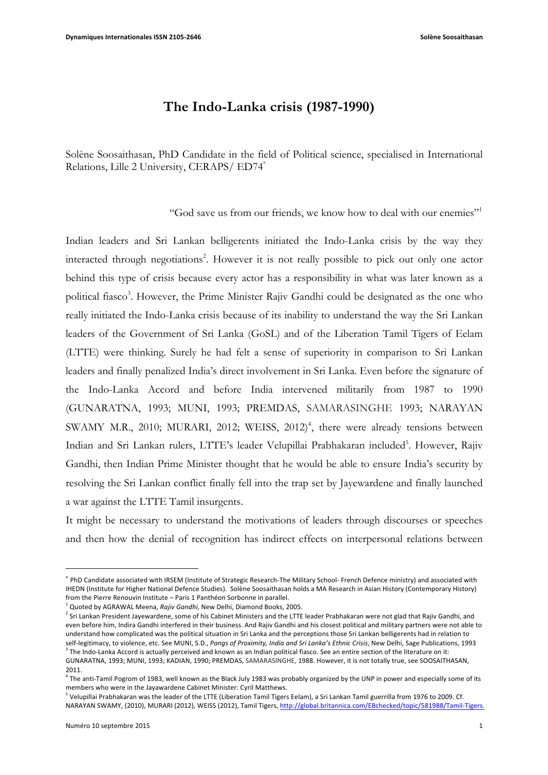# **The Indo-Lanka crisis (1987-1990)**

Solène Soosaithasan, PhD Candidate in the field of Political science, specialised in International Relations, Lille 2 University, CERAPS/ ED74\*

"God save us from our friends, we know how to deal with our enemies"1

Indian leaders and Sri Lankan belligerents initiated the Indo-Lanka crisis by the way they interacted through negotiations<sup>2</sup>. However it is not really possible to pick out only one actor behind this type of crisis because every actor has a responsibility in what was later known as a political fiasco<sup>3</sup>. However, the Prime Minister Rajiv Gandhi could be designated as the one who really initiated the Indo-Lanka crisis because of its inability to understand the way the Sri Lankan leaders of the Government of Sri Lanka (GoSL) and of the Liberation Tamil Tigers of Eelam (LTTE) were thinking. Surely he had felt a sense of superiority in comparison to Sri Lankan leaders and finally penalized India's direct involvement in Sri Lanka. Even before the signature of the Indo-Lanka Accord and before India intervened militarily from 1987 to 1990 (GUNARATNA, 1993; MUNI, 1993; PREMDAS, SAMARASINGHE 1993; NARAYAN SWAMY M.R., 2010; MURARI, 2012; WEISS, 2012)<sup>4</sup>, there were already tensions between Indian and Sri Lankan rulers, LTTE's leader Velupillai Prabhakaran included<sup>5</sup>. However, Rajiv Gandhi, then Indian Prime Minister thought that he would be able to ensure India's security by resolving the Sri Lankan conflict finally fell into the trap set by Jayewardene and finally launched a war against the LTTE Tamil insurgents.

It might be necessary to understand the motivations of leaders through discourses or speeches and then how the denial of recognition has indirect effects on interpersonal relations between

<sup>\*</sup> PhD Candidate associated with IRSEM (Institute of Strategic Research-The Military School- French Defence ministry) and associated with IHEDN (Institute for Higher National Defence Studies). Solène Soosaithasan holds a MA Research in Asian History (Contemporary History) from the Pierre Renouvin Institute - Paris 1 Panthéon Sorbonne in parallel.

<sup>&</sup>lt;sup>1</sup> Quoted by AGRAWAL Meena, Rajiv Gandhi, New Delhi, Diamond Books, 2005.

 $^2$  Sri Lankan President Jayewardene, some of his Cabinet Ministers and the LTTE leader Prabhakaran were not glad that Rajiv Gandhi, and even before him, Indira Gandhi interfered in their business. And Rajiv Gandhi and his closest political and military partners were not able to understand how complicated was the political situation in Sri Lanka and the perceptions those Sri Lankan belligerents had in relation to self-legitimacy, to violence, etc. See MUNI, S.D., Pangs of Proximity, India and Sri Lanka's Ethnic Crisis, New Delhi, Sage Publications, 1993  $3$  The Indo-Lanka Accord is actually perceived and known as an Indian political fiasco. See an entire section of the literature on it: GUNARATNA, 1993; MUNI, 1993; KADIAN, 1990; PREMDAS, SAMARASINGHE, 1988. However, it is not totally true, see SOOSAITHASAN, 2011. 

<sup>&</sup>lt;sup>4</sup> The anti-Tamil Pogrom of 1983, well known as the Black July 1983 was probably organized by the UNP in power and especially some of its members who were in the Jayawardene Cabinet Minister: Cyril Matthews.

<sup>&</sup>lt;sup>5</sup> Velupillai Prabhakaran was the leader of the LTTE (Liberation Tamil Tigers Eelam), a Sri Lankan Tamil guerrilla from 1976 to 2009. Cf. NARAYAN SWAMY, (2010), MURARI (2012), WEISS (2012), Tamil Tigers, http://global.britannica.com/EBchecked/topic/581988/Tamil-Tigers.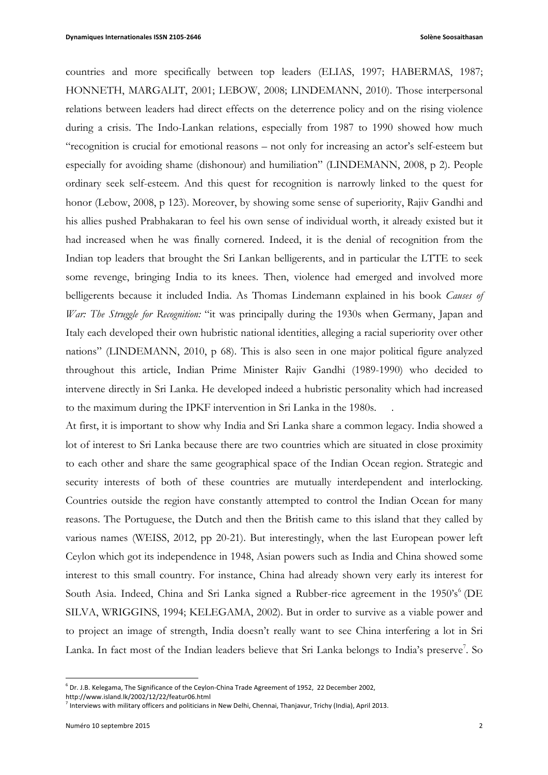countries and more specifically between top leaders (ELIAS, 1997; HABERMAS, 1987; HONNETH, MARGALIT, 2001; LEBOW, 2008; LINDEMANN, 2010). Those interpersonal relations between leaders had direct effects on the deterrence policy and on the rising violence during a crisis. The Indo-Lankan relations, especially from 1987 to 1990 showed how much "recognition is crucial for emotional reasons – not only for increasing an actor's self-esteem but especially for avoiding shame (dishonour) and humiliation" (LINDEMANN, 2008, p 2). People ordinary seek self-esteem. And this quest for recognition is narrowly linked to the quest for honor (Lebow, 2008, p 123). Moreover, by showing some sense of superiority, Rajiv Gandhi and his allies pushed Prabhakaran to feel his own sense of individual worth, it already existed but it had increased when he was finally cornered. Indeed, it is the denial of recognition from the Indian top leaders that brought the Sri Lankan belligerents, and in particular the LTTE to seek some revenge, bringing India to its knees. Then, violence had emerged and involved more belligerents because it included India. As Thomas Lindemann explained in his book *Causes of War: The Struggle for Recognition:* "it was principally during the 1930s when Germany, Japan and Italy each developed their own hubristic national identities, alleging a racial superiority over other nations" (LINDEMANN, 2010, p 68). This is also seen in one major political figure analyzed throughout this article, Indian Prime Minister Rajiv Gandhi (1989-1990) who decided to intervene directly in Sri Lanka. He developed indeed a hubristic personality which had increased to the maximum during the IPKF intervention in Sri Lanka in the 1980s. .

At first, it is important to show why India and Sri Lanka share a common legacy. India showed a lot of interest to Sri Lanka because there are two countries which are situated in close proximity to each other and share the same geographical space of the Indian Ocean region. Strategic and security interests of both of these countries are mutually interdependent and interlocking. Countries outside the region have constantly attempted to control the Indian Ocean for many reasons. The Portuguese, the Dutch and then the British came to this island that they called by various names (WEISS, 2012, pp 20-21). But interestingly, when the last European power left Ceylon which got its independence in 1948, Asian powers such as India and China showed some interest to this small country. For instance, China had already shown very early its interest for South Asia. Indeed, China and Sri Lanka signed a Rubber-rice agreement in the 1950's<sup>6</sup> (DE SILVA, WRIGGINS, 1994; KELEGAMA, 2002). But in order to survive as a viable power and to project an image of strength, India doesn't really want to see China interfering a lot in Sri Lanka. In fact most of the Indian leaders believe that Sri Lanka belongs to India's preserve<sup>7</sup>. So

 $6$  Dr. J.B. Kelegama, The Significance of the Ceylon-China Trade Agreement of 1952, 22 December 2002,

http://www.island.lk/2002/12/22/featur06.html

 $^7$  Interviews with military officers and politicians in New Delhi, Chennai, Thanjavur, Trichy (India), April 2013.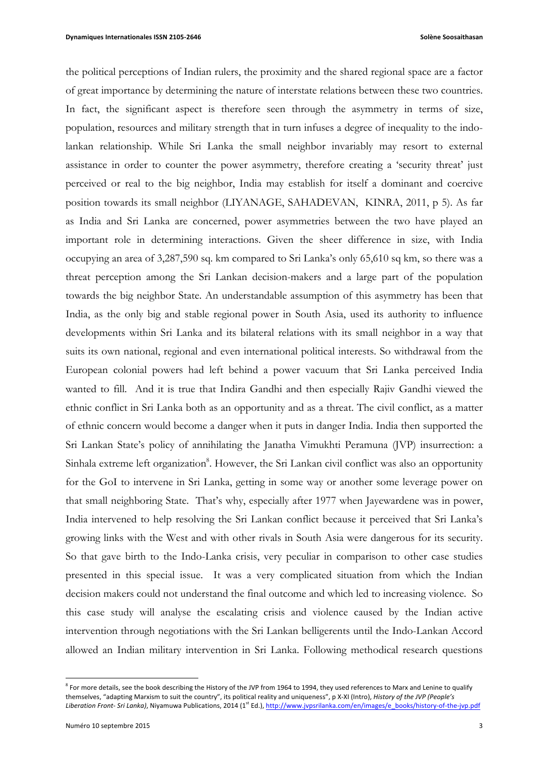the political perceptions of Indian rulers, the proximity and the shared regional space are a factor of great importance by determining the nature of interstate relations between these two countries. In fact, the significant aspect is therefore seen through the asymmetry in terms of size, population, resources and military strength that in turn infuses a degree of inequality to the indolankan relationship. While Sri Lanka the small neighbor invariably may resort to external assistance in order to counter the power asymmetry, therefore creating a 'security threat' just perceived or real to the big neighbor, India may establish for itself a dominant and coercive position towards its small neighbor (LIYANAGE, SAHADEVAN, KINRA, 2011, p 5). As far as India and Sri Lanka are concerned, power asymmetries between the two have played an important role in determining interactions. Given the sheer difference in size, with India occupying an area of 3,287,590 sq. km compared to Sri Lanka's only 65,610 sq km, so there was a threat perception among the Sri Lankan decision-makers and a large part of the population towards the big neighbor State. An understandable assumption of this asymmetry has been that India, as the only big and stable regional power in South Asia, used its authority to influence developments within Sri Lanka and its bilateral relations with its small neighbor in a way that suits its own national, regional and even international political interests. So withdrawal from the European colonial powers had left behind a power vacuum that Sri Lanka perceived India wanted to fill. And it is true that Indira Gandhi and then especially Rajiv Gandhi viewed the ethnic conflict in Sri Lanka both as an opportunity and as a threat. The civil conflict, as a matter of ethnic concern would become a danger when it puts in danger India. India then supported the Sri Lankan State's policy of annihilating the Janatha Vimukhti Peramuna (JVP) insurrection: a Sinhala extreme left organization<sup>8</sup>. However, the Sri Lankan civil conflict was also an opportunity for the GoI to intervene in Sri Lanka, getting in some way or another some leverage power on that small neighboring State. That's why, especially after 1977 when Jayewardene was in power, India intervened to help resolving the Sri Lankan conflict because it perceived that Sri Lanka's growing links with the West and with other rivals in South Asia were dangerous for its security. So that gave birth to the Indo-Lanka crisis, very peculiar in comparison to other case studies presented in this special issue. It was a very complicated situation from which the Indian decision makers could not understand the final outcome and which led to increasing violence. So this case study will analyse the escalating crisis and violence caused by the Indian active intervention through negotiations with the Sri Lankan belligerents until the Indo-Lankan Accord allowed an Indian military intervention in Sri Lanka. Following methodical research questions

 $8$  For more details, see the book describing the History of the JVP from 1964 to 1994, they used references to Marx and Lenine to qualify themselves, "adapting Marxism to suit the country", its political reality and uniqueness", p X-XI (Intro), *History of the JVP (People's* Liberation Front- Sri Lanka), Niyamuwa Publications, 2014 (1<sup>st</sup> Ed.), http://www.jvpsrilanka.com/en/images/e\_books/history-of-the-jvp.pdf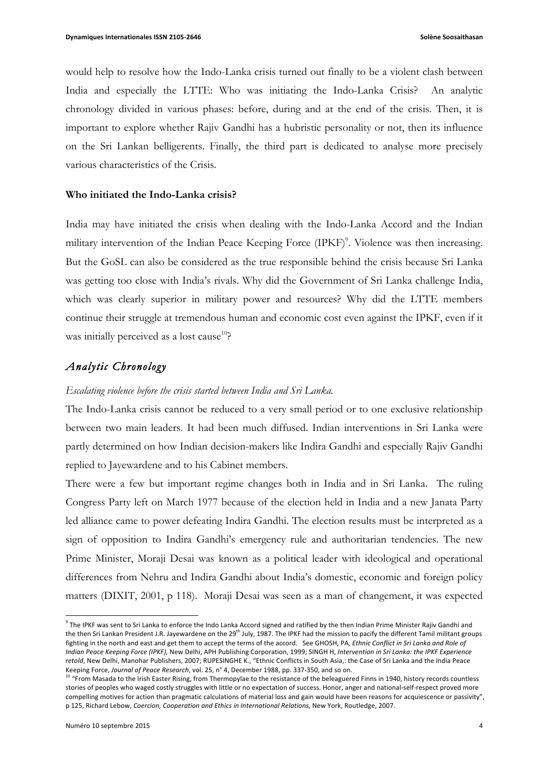would help to resolve how the Indo-Lanka crisis turned out finally to be a violent clash between India and especially the LTTE: Who was initiating the Indo-Lanka Crisis? An analytic chronology divided in various phases: before, during and at the end of the crisis. Then, it is important to explore whether Rajiv Gandhi has a hubristic personality or not, then its influence on the Sri Lankan belligerents. Finally, the third part is dedicated to analyse more precisely various characteristics of the Crisis.

#### **Who initiated the Indo-Lanka crisis?**

India may have initiated the crisis when dealing with the Indo-Lanka Accord and the Indian military intervention of the Indian Peace Keeping Force (IPKF)<sup>9</sup>. Violence was then increasing. But the GoSL can also be considered as the true responsible behind the crisis because Sri Lanka was getting too close with India's rivals. Why did the Government of Sri Lanka challenge India, which was clearly superior in military power and resources? Why did the LTTE members continue their struggle at tremendous human and economic cost even against the IPKF, even if it was initially perceived as a lost cause<sup>10</sup>?

## *Analytic Chronology*

#### *Escalating violence before the crisis started between India and Sri Lanka.*

The Indo-Lanka crisis cannot be reduced to a very small period or to one exclusive relationship between two main leaders. It had been much diffused. Indian interventions in Sri Lanka were partly determined on how Indian decision-makers like Indira Gandhi and especially Rajiv Gandhi replied to Jayewardene and to his Cabinet members.

There were a few but important regime changes both in India and in Sri Lanka. The ruling Congress Party left on March 1977 because of the election held in India and a new Janata Party led alliance came to power defeating Indira Gandhi. The election results must be interpreted as a sign of opposition to Indira Gandhi's emergency rule and authoritarian tendencies. The new Prime Minister, Moraji Desai was known as a political leader with ideological and operational differences from Nehru and Indira Gandhi about India's domestic, economic and foreign policy matters (DIXIT, 2001, p 118). Moraji Desai was seen as a man of changement, it was expected

 $9$  The IPKF was sent to Sri Lanka to enforce the Indo Lanka Accord signed and ratified by the then Indian Prime Minister Rajiv Gandhi and the then Sri Lankan President J.R. Jayewardene on the 29<sup>th</sup> July, 1987. The IPKF had the mission to pacify the different Tamil militant groups fighting in the north and east and get them to accept the terms of the accord. See GHOSH, PA, Ethnic Conflict in Sri Lanka and Role of Indian Peace Keeping Force (IPKF), New Delhi, APH Publishing Corporation, 1999; SINGH H, Intervention in Sri Lanka: the IPKF Experience retold, New Delhi, Manohar Publishers, 2007; RUPESINGHE K., "Ethnic Conflicts in South Asia,: the Case of Sri Lanka and the India Peace Keeping Force, Journal of Peace Research, vol. 25, n° 4, December 1988, pp. 337-350, and so on.

<sup>&</sup>lt;sup>10</sup> "From Masada to the Irish Easter Rising, from Thermopylae to the resistance of the beleaguered Finns in 1940, history records countless stories of peoples who waged costly struggles with little or no expectation of success. Honor, anger and national-self-respect proved more compelling motives for action than pragmatic calculations of material loss and gain would have been reasons for acquiescence or passivity", p 125, Richard Lebow, *Coercion, Cooperation and Ethics in International Relations*, New York, Routledge, 2007.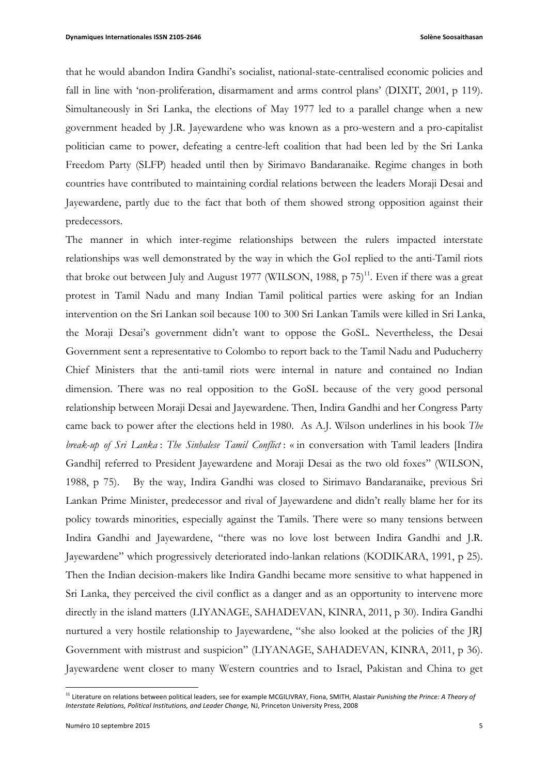that he would abandon Indira Gandhi's socialist, national-state-centralised economic policies and fall in line with 'non-proliferation, disarmament and arms control plans' (DIXIT, 2001, p 119). Simultaneously in Sri Lanka, the elections of May 1977 led to a parallel change when a new government headed by J.R. Jayewardene who was known as a pro-western and a pro-capitalist politician came to power, defeating a centre-left coalition that had been led by the Sri Lanka Freedom Party (SLFP) headed until then by Sirimavo Bandaranaike. Regime changes in both countries have contributed to maintaining cordial relations between the leaders Moraji Desai and Jayewardene, partly due to the fact that both of them showed strong opposition against their predecessors.

The manner in which inter-regime relationships between the rulers impacted interstate relationships was well demonstrated by the way in which the GoI replied to the anti-Tamil riots that broke out between July and August 1977 (WILSON, 1988, p  $75$ )<sup>11</sup>. Even if there was a great protest in Tamil Nadu and many Indian Tamil political parties were asking for an Indian intervention on the Sri Lankan soil because 100 to 300 Sri Lankan Tamils were killed in Sri Lanka, the Moraji Desai's government didn't want to oppose the GoSL. Nevertheless, the Desai Government sent a representative to Colombo to report back to the Tamil Nadu and Puducherry Chief Ministers that the anti-tamil riots were internal in nature and contained no Indian dimension. There was no real opposition to the GoSL because of the very good personal relationship between Moraji Desai and Jayewardene. Then, Indira Gandhi and her Congress Party came back to power after the elections held in 1980. As A.J. Wilson underlines in his book *The break-up of Sri Lanka* : *The Sinhalese Tamil Conflict* : « in conversation with Tamil leaders [Indira Gandhi] referred to President Jayewardene and Moraji Desai as the two old foxes" (WILSON, 1988, p 75). By the way, Indira Gandhi was closed to Sirimavo Bandaranaike, previous Sri Lankan Prime Minister, predecessor and rival of Jayewardene and didn't really blame her for its policy towards minorities, especially against the Tamils. There were so many tensions between Indira Gandhi and Jayewardene, "there was no love lost between Indira Gandhi and J.R. Jayewardene" which progressively deteriorated indo-lankan relations (KODIKARA, 1991, p 25). Then the Indian decision-makers like Indira Gandhi became more sensitive to what happened in Sri Lanka, they perceived the civil conflict as a danger and as an opportunity to intervene more directly in the island matters (LIYANAGE, SAHADEVAN, KINRA, 2011, p 30). Indira Gandhi nurtured a very hostile relationship to Jayewardene, "she also looked at the policies of the JRJ Government with mistrust and suspicion" (LIYANAGE, SAHADEVAN, KINRA, 2011, p 36). Jayewardene went closer to many Western countries and to Israel, Pakistan and China to get

<sup>&</sup>lt;sup>11</sup> Literature on relations between political leaders, see for example MCGILIVRAY, Fiona, SMITH, Alastair *Punishing the Prince: A Theory of Interstate Relations, Political Institutions, and Leader Change, NJ, Princeton University Press, 2008*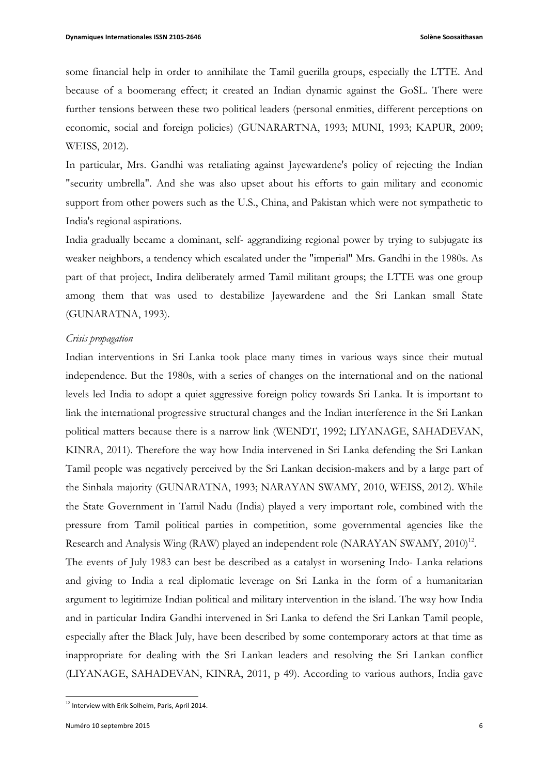some financial help in order to annihilate the Tamil guerilla groups, especially the LTTE. And because of a boomerang effect; it created an Indian dynamic against the GoSL. There were further tensions between these two political leaders (personal enmities, different perceptions on economic, social and foreign policies) (GUNARARTNA, 1993; MUNI, 1993; KAPUR, 2009; WEISS, 2012).

In particular, Mrs. Gandhi was retaliating against Jayewardene's policy of rejecting the Indian "security umbrella". And she was also upset about his efforts to gain military and economic support from other powers such as the U.S., China, and Pakistan which were not sympathetic to India's regional aspirations.

India gradually became a dominant, self- aggrandizing regional power by trying to subjugate its weaker neighbors, a tendency which escalated under the "imperial" Mrs. Gandhi in the 1980s. As part of that project, Indira deliberately armed Tamil militant groups; the LTTE was one group among them that was used to destabilize Jayewardene and the Sri Lankan small State (GUNARATNA, 1993).

#### *Crisis propagation*

Indian interventions in Sri Lanka took place many times in various ways since their mutual independence. But the 1980s, with a series of changes on the international and on the national levels led India to adopt a quiet aggressive foreign policy towards Sri Lanka. It is important to link the international progressive structural changes and the Indian interference in the Sri Lankan political matters because there is a narrow link (WENDT, 1992; LIYANAGE, SAHADEVAN, KINRA, 2011). Therefore the way how India intervened in Sri Lanka defending the Sri Lankan Tamil people was negatively perceived by the Sri Lankan decision-makers and by a large part of the Sinhala majority (GUNARATNA, 1993; NARAYAN SWAMY, 2010, WEISS, 2012). While the State Government in Tamil Nadu (India) played a very important role, combined with the pressure from Tamil political parties in competition, some governmental agencies like the Research and Analysis Wing (RAW) played an independent role (NARAYAN SWAMY, 2010)<sup>12</sup>. The events of July 1983 can best be described as a catalyst in worsening Indo- Lanka relations and giving to India a real diplomatic leverage on Sri Lanka in the form of a humanitarian argument to legitimize Indian political and military intervention in the island. The way how India and in particular Indira Gandhi intervened in Sri Lanka to defend the Sri Lankan Tamil people, especially after the Black July, have been described by some contemporary actors at that time as inappropriate for dealing with the Sri Lankan leaders and resolving the Sri Lankan conflict (LIYANAGE, SAHADEVAN, KINRA, 2011, p 49). According to various authors, India gave

<sup>&</sup>lt;sup>12</sup> Interview with Erik Solheim, Paris, April 2014.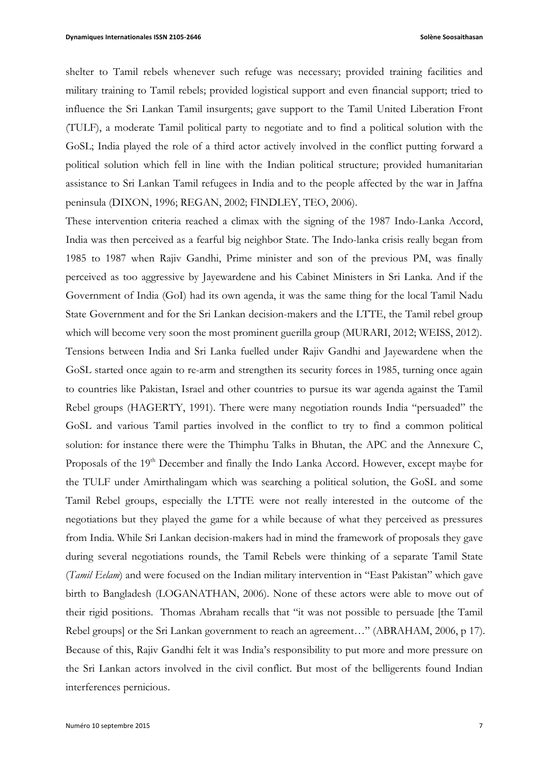shelter to Tamil rebels whenever such refuge was necessary; provided training facilities and military training to Tamil rebels; provided logistical support and even financial support; tried to influence the Sri Lankan Tamil insurgents; gave support to the Tamil United Liberation Front (TULF), a moderate Tamil political party to negotiate and to find a political solution with the GoSL; India played the role of a third actor actively involved in the conflict putting forward a political solution which fell in line with the Indian political structure; provided humanitarian assistance to Sri Lankan Tamil refugees in India and to the people affected by the war in Jaffna peninsula (DIXON, 1996; REGAN, 2002; FINDLEY, TEO, 2006).

These intervention criteria reached a climax with the signing of the 1987 Indo-Lanka Accord, India was then perceived as a fearful big neighbor State. The Indo-lanka crisis really began from 1985 to 1987 when Rajiv Gandhi, Prime minister and son of the previous PM, was finally perceived as too aggressive by Jayewardene and his Cabinet Ministers in Sri Lanka. And if the Government of India (GoI) had its own agenda, it was the same thing for the local Tamil Nadu State Government and for the Sri Lankan decision-makers and the LTTE, the Tamil rebel group which will become very soon the most prominent guerilla group (MURARI, 2012; WEISS, 2012). Tensions between India and Sri Lanka fuelled under Rajiv Gandhi and Jayewardene when the GoSL started once again to re-arm and strengthen its security forces in 1985, turning once again to countries like Pakistan, Israel and other countries to pursue its war agenda against the Tamil Rebel groups (HAGERTY, 1991). There were many negotiation rounds India "persuaded" the GoSL and various Tamil parties involved in the conflict to try to find a common political solution: for instance there were the Thimphu Talks in Bhutan, the APC and the Annexure C, Proposals of the 19<sup>th</sup> December and finally the Indo Lanka Accord. However, except maybe for the TULF under Amirthalingam which was searching a political solution, the GoSL and some Tamil Rebel groups, especially the LTTE were not really interested in the outcome of the negotiations but they played the game for a while because of what they perceived as pressures from India. While Sri Lankan decision-makers had in mind the framework of proposals they gave during several negotiations rounds, the Tamil Rebels were thinking of a separate Tamil State (*Tamil Eelam*) and were focused on the Indian military intervention in "East Pakistan" which gave birth to Bangladesh (LOGANATHAN, 2006). None of these actors were able to move out of their rigid positions. Thomas Abraham recalls that "it was not possible to persuade [the Tamil Rebel groups] or the Sri Lankan government to reach an agreement…" (ABRAHAM, 2006, p 17). Because of this, Rajiv Gandhi felt it was India's responsibility to put more and more pressure on the Sri Lankan actors involved in the civil conflict. But most of the belligerents found Indian interferences pernicious.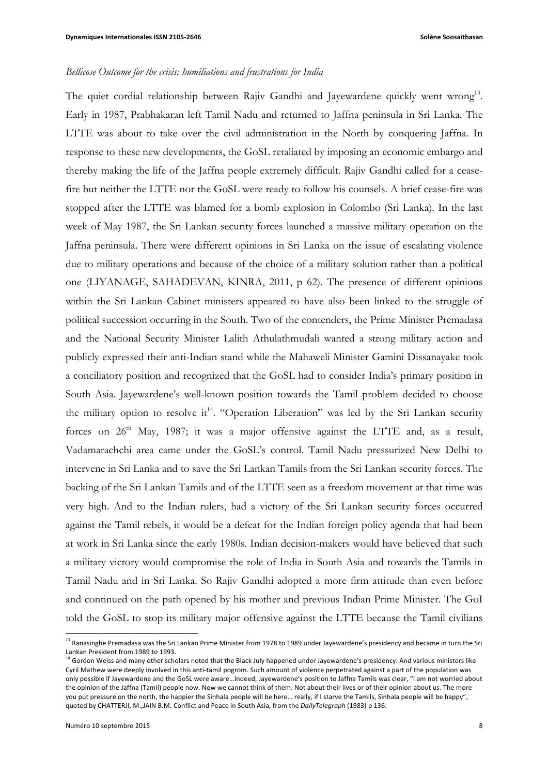#### *Bellicose Outcome for the crisis: humiliations and frustrations for India*

The quiet cordial relationship between Rajiv Gandhi and Jayewardene quickly went wrong<sup>13</sup>. Early in 1987, Prabhakaran left Tamil Nadu and returned to Jaffna peninsula in Sri Lanka. The LTTE was about to take over the civil administration in the North by conquering Jaffna. In response to these new developments, the GoSL retaliated by imposing an economic embargo and thereby making the life of the Jaffna people extremely difficult. Rajiv Gandhi called for a ceasefire but neither the LTTE nor the GoSL were ready to follow his counsels. A brief cease-fire was stopped after the LTTE was blamed for a bomb explosion in Colombo (Sri Lanka). In the last week of May 1987, the Sri Lankan security forces launched a massive military operation on the Jaffna peninsula. There were different opinions in Sri Lanka on the issue of escalating violence due to military operations and because of the choice of a military solution rather than a political one (LIYANAGE, SAHADEVAN, KINRA, 2011, p 62). The presence of different opinions within the Sri Lankan Cabinet ministers appeared to have also been linked to the struggle of political succession occurring in the South. Two of the contenders, the Prime Minister Premadasa and the National Security Minister Lalith Athulathmudali wanted a strong military action and publicly expressed their anti-Indian stand while the Mahaweli Minister Gamini Dissanayake took a conciliatory position and recognized that the GoSL had to consider India's primary position in South Asia. Jayewardene's well-known position towards the Tamil problem decided to choose the military option to resolve it<sup>14</sup>. "Operation Liberation" was led by the Sri Lankan security forces on  $26<sup>th</sup>$  May, 1987; it was a major offensive against the LTTE and, as a result, Vadamarachchi area came under the GoSL's control. Tamil Nadu pressurized New Delhi to intervene in Sri Lanka and to save the Sri Lankan Tamils from the Sri Lankan security forces. The backing of the Sri Lankan Tamils and of the LTTE seen as a freedom movement at that time was very high. And to the Indian rulers, had a victory of the Sri Lankan security forces occurred against the Tamil rebels, it would be a defeat for the Indian foreign policy agenda that had been at work in Sri Lanka since the early 1980s. Indian decision-makers would have believed that such a military victory would compromise the role of India in South Asia and towards the Tamils in Tamil Nadu and in Sri Lanka. So Rajiv Gandhi adopted a more firm attitude than even before and continued on the path opened by his mother and previous Indian Prime Minister. The GoI told the GoSL to stop its military major offensive against the LTTE because the Tamil civilians

<sup>&</sup>lt;sup>13</sup> Ranasinghe Premadasa was the Sri Lankan Prime Minister from 1978 to 1989 under Jayewardene's presidency and became in turn the Sri Lankan President from 1989 to 1993.

<sup>&</sup>lt;sup>14</sup> Gordon Weiss and many other scholars noted that the Black July happened under Jayewardene's presidency. And various ministers like Cyril Mathew were deeply involved in this anti-tamil pogrom. Such amount of violence perpetrated against a part of the population was only possible if Jayewardene and the GoSL were aware...Indeed, Jayewardene's position to Jaffna Tamils was clear, "I am not worried about the opinion of the Jaffna (Tamil) people now. Now we cannot think of them. Not about their lives or of their opinion about us. The more you put pressure on the north, the happier the Sinhala people will be here... really, if I starve the Tamils, Sinhala people will be happy", quoted by CHATTERJI, M.,JAIN B.M. Conflict and Peace in South Asia, from the *DailyTelegraph* (1983) p 136.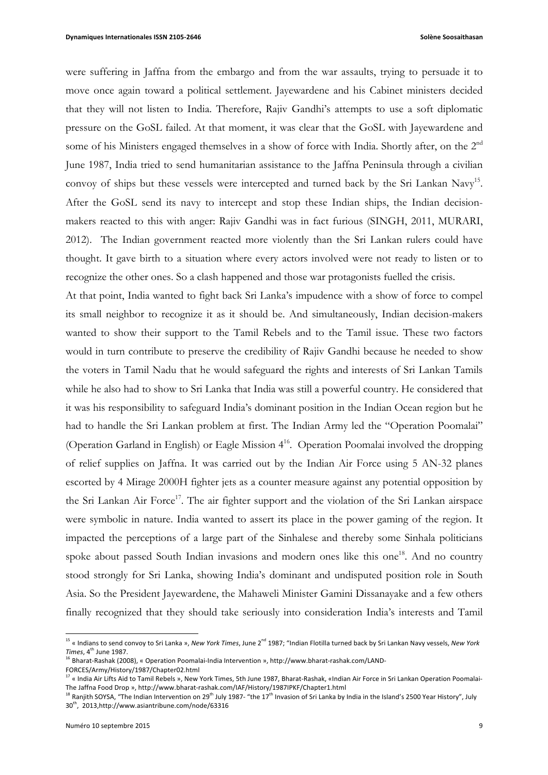were suffering in Jaffna from the embargo and from the war assaults, trying to persuade it to move once again toward a political settlement. Jayewardene and his Cabinet ministers decided that they will not listen to India. Therefore, Rajiv Gandhi's attempts to use a soft diplomatic pressure on the GoSL failed. At that moment, it was clear that the GoSL with Jayewardene and some of his Ministers engaged themselves in a show of force with India. Shortly after, on the 2<sup>nd</sup> June 1987, India tried to send humanitarian assistance to the Jaffna Peninsula through a civilian convoy of ships but these vessels were intercepted and turned back by the Sri Lankan Navy<sup>15</sup>. After the GoSL send its navy to intercept and stop these Indian ships, the Indian decisionmakers reacted to this with anger: Rajiv Gandhi was in fact furious (SINGH, 2011, MURARI, 2012). The Indian government reacted more violently than the Sri Lankan rulers could have thought. It gave birth to a situation where every actors involved were not ready to listen or to recognize the other ones. So a clash happened and those war protagonists fuelled the crisis.

At that point, India wanted to fight back Sri Lanka's impudence with a show of force to compel its small neighbor to recognize it as it should be. And simultaneously, Indian decision-makers wanted to show their support to the Tamil Rebels and to the Tamil issue. These two factors would in turn contribute to preserve the credibility of Rajiv Gandhi because he needed to show the voters in Tamil Nadu that he would safeguard the rights and interests of Sri Lankan Tamils while he also had to show to Sri Lanka that India was still a powerful country. He considered that it was his responsibility to safeguard India's dominant position in the Indian Ocean region but he had to handle the Sri Lankan problem at first. The Indian Army led the "Operation Poomalai" (Operation Garland in English) or Eagle Mission 416. Operation Poomalai involved the dropping of relief supplies on Jaffna. It was carried out by the Indian Air Force using 5 AN-32 planes escorted by 4 Mirage 2000H fighter jets as a counter measure against any potential opposition by the Sri Lankan Air Force<sup>17</sup>. The air fighter support and the violation of the Sri Lankan airspace were symbolic in nature. India wanted to assert its place in the power gaming of the region. It impacted the perceptions of a large part of the Sinhalese and thereby some Sinhala politicians spoke about passed South Indian invasions and modern ones like this one<sup>18</sup>. And no country stood strongly for Sri Lanka, showing India's dominant and undisputed position role in South Asia. So the President Jayewardene, the Mahaweli Minister Gamini Dissanayake and a few others finally recognized that they should take seriously into consideration India's interests and Tamil

<sup>&</sup>lt;sup>15</sup> « Indians to send convoy to Sri Lanka », New York Times, June 2<sup>nd</sup> 1987; "Indian Flotilla turned back by Sri Lankan Navy vessels, New York *Times*, 4<sup>th</sup> June 1987.

<sup>16</sup> Bharat-Rashak (2008), « Operation Poomalai-India Intervention », http://www.bharat-rashak.com/LAND-FORCES/Army/History/1987/Chapter02.html

<sup>&</sup>lt;sup>17</sup> « India Air Lifts Aid to Tamil Rebels », New York Times, 5th June 1987, Bharat-Rashak, «Indian Air Force in Sri Lankan Operation Poomalai-The Jaffna Food Drop », http://www.bharat-rashak.com/IAF/History/1987IPKF/Chapter1.html

<sup>&</sup>lt;sup>18</sup> Ranjith SOYSA, "The Indian Intervention on 29<sup>th</sup> July 1987- "the 17<sup>th</sup> Invasion of Sri Lanka by India in the Island's 2500 Year History", July 30<sup>th</sup>, 2013,http://www.asiantribune.com/node/63316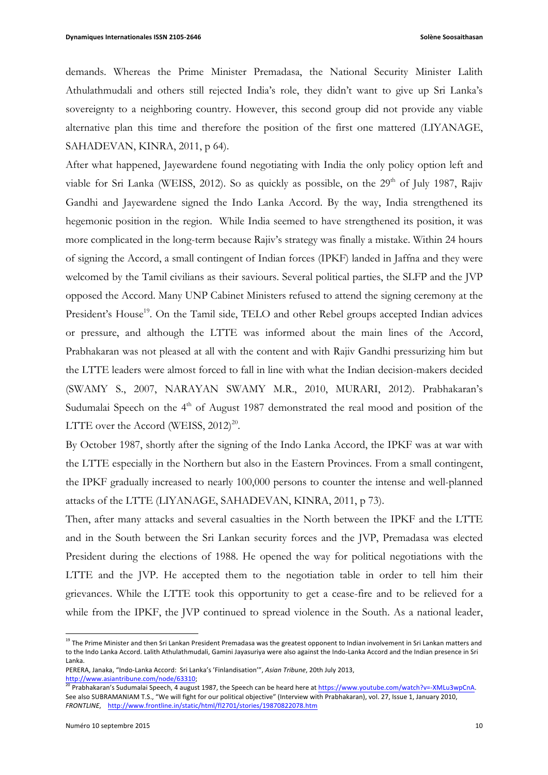demands. Whereas the Prime Minister Premadasa, the National Security Minister Lalith Athulathmudali and others still rejected India's role, they didn't want to give up Sri Lanka's sovereignty to a neighboring country. However, this second group did not provide any viable alternative plan this time and therefore the position of the first one mattered (LIYANAGE, SAHADEVAN, KINRA, 2011, p 64).

After what happened, Jayewardene found negotiating with India the only policy option left and viable for Sri Lanka (WEISS, 2012). So as quickly as possible, on the 29<sup>th</sup> of July 1987, Rajiv Gandhi and Jayewardene signed the Indo Lanka Accord. By the way, India strengthened its hegemonic position in the region. While India seemed to have strengthened its position, it was more complicated in the long-term because Rajiv's strategy was finally a mistake. Within 24 hours of signing the Accord, a small contingent of Indian forces (IPKF) landed in Jaffna and they were welcomed by the Tamil civilians as their saviours. Several political parties, the SLFP and the JVP opposed the Accord. Many UNP Cabinet Ministers refused to attend the signing ceremony at the President's House<sup>19</sup>. On the Tamil side, TELO and other Rebel groups accepted Indian advices or pressure, and although the LTTE was informed about the main lines of the Accord, Prabhakaran was not pleased at all with the content and with Rajiv Gandhi pressurizing him but the LTTE leaders were almost forced to fall in line with what the Indian decision-makers decided (SWAMY S., 2007, NARAYAN SWAMY M.R., 2010, MURARI, 2012). Prabhakaran's Sudumalai Speech on the  $4<sup>th</sup>$  of August 1987 demonstrated the real mood and position of the LTTE over the Accord (WEISS,  $2012$ )<sup>20</sup>.

By October 1987, shortly after the signing of the Indo Lanka Accord, the IPKF was at war with the LTTE especially in the Northern but also in the Eastern Provinces. From a small contingent, the IPKF gradually increased to nearly 100,000 persons to counter the intense and well-planned attacks of the LTTE (LIYANAGE, SAHADEVAN, KINRA, 2011, p 73).

Then, after many attacks and several casualties in the North between the IPKF and the LTTE and in the South between the Sri Lankan security forces and the JVP, Premadasa was elected President during the elections of 1988. He opened the way for political negotiations with the LTTE and the JVP. He accepted them to the negotiation table in order to tell him their grievances. While the LTTE took this opportunity to get a cease-fire and to be relieved for a while from the IPKF, the JVP continued to spread violence in the South. As a national leader,

<sup>&</sup>lt;sup>19</sup> The Prime Minister and then Sri Lankan President Premadasa was the greatest opponent to Indian involvement in Sri Lankan matters and to the Indo Lanka Accord. Lalith Athulathmudali, Gamini Jayasuriya were also against the Indo-Lanka Accord and the Indian presence in Sri Lanka. 

PERERA, Janaka, "Indo-Lanka Accord: Sri Lanka's 'Finlandisation'", Asian Tribune, 20th July 2013, http://www.asiantribune.com/node/63310; 

<sup>&</sup>lt;sup>20</sup> Prabhakaran's Sudumalai Speech, 4 august 1987, the Speech can be heard here at https://www.youtube.com/watch?v=-XMLu3wpCnA. See also SUBRAMANIAM T.S., "We will fight for our political objective" (Interview with Prabhakaran), vol. 27, Issue 1, January 2010, FRONTLINE, http://www.frontline.in/static/html/fl2701/stories/19870822078.htm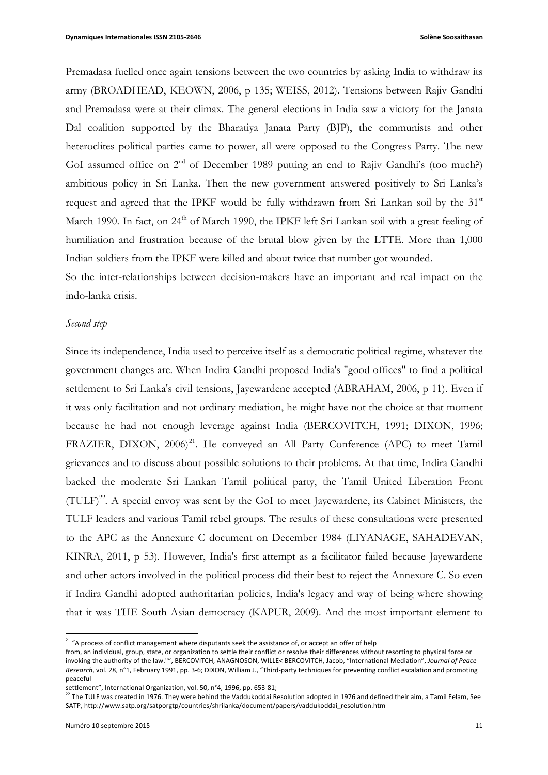Premadasa fuelled once again tensions between the two countries by asking India to withdraw its army (BROADHEAD, KEOWN, 2006, p 135; WEISS, 2012). Tensions between Rajiv Gandhi and Premadasa were at their climax. The general elections in India saw a victory for the Janata Dal coalition supported by the Bharatiya Janata Party (BJP), the communists and other heteroclites political parties came to power, all were opposed to the Congress Party. The new GoI assumed office on 2<sup>nd</sup> of December 1989 putting an end to Rajiv Gandhi's (too much?) ambitious policy in Sri Lanka. Then the new government answered positively to Sri Lanka's request and agreed that the IPKF would be fully withdrawn from Sri Lankan soil by the 31<sup>st</sup> March 1990. In fact, on 24<sup>th</sup> of March 1990, the IPKF left Sri Lankan soil with a great feeling of humiliation and frustration because of the brutal blow given by the LTTE. More than 1,000 Indian soldiers from the IPKF were killed and about twice that number got wounded.

So the inter-relationships between decision-makers have an important and real impact on the indo-lanka crisis.

#### *Second step*

Since its independence, India used to perceive itself as a democratic political regime, whatever the government changes are. When Indira Gandhi proposed India's "good offices" to find a political settlement to Sri Lanka's civil tensions, Jayewardene accepted (ABRAHAM, 2006, p 11). Even if it was only facilitation and not ordinary mediation, he might have not the choice at that moment because he had not enough leverage against India (BERCOVITCH, 1991; DIXON, 1996; FRAZIER, DIXON, 2006)<sup>21</sup>. He conveyed an All Party Conference (APC) to meet Tamil grievances and to discuss about possible solutions to their problems. At that time, Indira Gandhi backed the moderate Sri Lankan Tamil political party, the Tamil United Liberation Front  $(TULF)^{22}$ . A special envoy was sent by the GoI to meet Jayewardene, its Cabinet Ministers, the TULF leaders and various Tamil rebel groups. The results of these consultations were presented to the APC as the Annexure C document on December 1984 (LIYANAGE, SAHADEVAN, KINRA, 2011, p 53). However, India's first attempt as a facilitator failed because Jayewardene and other actors involved in the political process did their best to reject the Annexure C. So even if Indira Gandhi adopted authoritarian policies, India's legacy and way of being where showing that it was THE South Asian democracy (KAPUR, 2009). And the most important element to

<sup>&</sup>lt;sup>21</sup> "A process of conflict management where disputants seek the assistance of, or accept an offer of help

from, an individual, group, state, or organization to settle their conflict or resolve their differences without resorting to physical force or invoking the authority of the law."", BERCOVITCH, ANAGNOSON, WILLE< BERCOVITCH, Jacob, "International Mediation", Journal of Peace Research, vol. 28, n°1, February 1991, pp. 3-6; DIXON, William J., "Third-party techniques for preventing conflict escalation and promoting peaceful 

settlement", International Organization, vol. 50, n°4, 1996, pp. 653-81;

<sup>22</sup> The TULF was created in 1976. They were behind the Vaddukoddai Resolution adopted in 1976 and defined their aim, a Tamil Eelam, See SATP, http://www.satp.org/satporgtp/countries/shrilanka/document/papers/vaddukoddai\_resolution.htm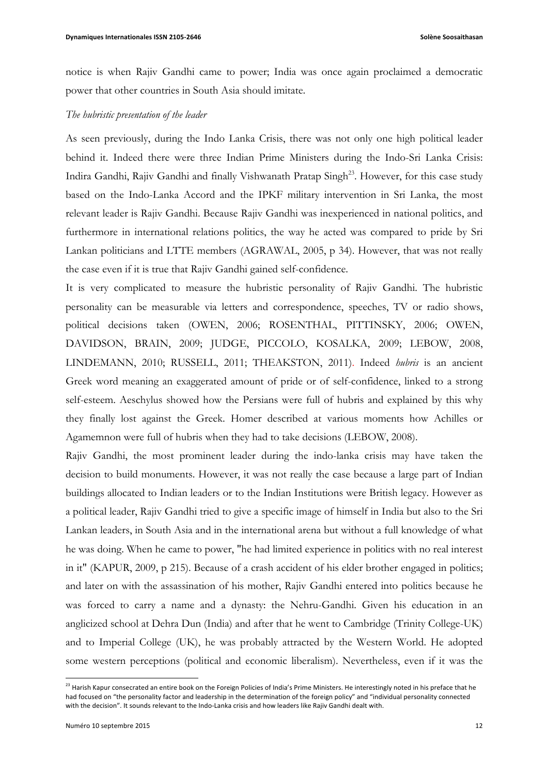notice is when Rajiv Gandhi came to power; India was once again proclaimed a democratic power that other countries in South Asia should imitate.

#### *The hubristic presentation of the leader*

As seen previously, during the Indo Lanka Crisis, there was not only one high political leader behind it. Indeed there were three Indian Prime Ministers during the Indo-Sri Lanka Crisis: Indira Gandhi, Rajiv Gandhi and finally Vishwanath Pratap Singh<sup>23</sup>. However, for this case study based on the Indo-Lanka Accord and the IPKF military intervention in Sri Lanka, the most relevant leader is Rajiv Gandhi. Because Rajiv Gandhi was inexperienced in national politics, and furthermore in international relations politics, the way he acted was compared to pride by Sri Lankan politicians and LTTE members (AGRAWAL, 2005, p 34). However, that was not really the case even if it is true that Rajiv Gandhi gained self-confidence.

It is very complicated to measure the hubristic personality of Rajiv Gandhi. The hubristic personality can be measurable via letters and correspondence, speeches, TV or radio shows, political decisions taken (OWEN, 2006; ROSENTHAL, PITTINSKY, 2006; OWEN, DAVIDSON, BRAIN, 2009; JUDGE, PICCOLO, KOSALKA, 2009; LEBOW, 2008, LINDEMANN, 2010; RUSSELL, 2011; THEAKSTON, 2011). Indeed *hubris* is an ancient Greek word meaning an exaggerated amount of pride or of self-confidence, linked to a strong self-esteem. Aeschylus showed how the Persians were full of hubris and explained by this why they finally lost against the Greek. Homer described at various moments how Achilles or Agamemnon were full of hubris when they had to take decisions (LEBOW, 2008).

Rajiv Gandhi, the most prominent leader during the indo-lanka crisis may have taken the decision to build monuments. However, it was not really the case because a large part of Indian buildings allocated to Indian leaders or to the Indian Institutions were British legacy. However as a political leader, Rajiv Gandhi tried to give a specific image of himself in India but also to the Sri Lankan leaders, in South Asia and in the international arena but without a full knowledge of what he was doing. When he came to power, "he had limited experience in politics with no real interest in it" (KAPUR, 2009, p 215). Because of a crash accident of his elder brother engaged in politics; and later on with the assassination of his mother, Rajiv Gandhi entered into politics because he was forced to carry a name and a dynasty: the Nehru-Gandhi. Given his education in an anglicized school at Dehra Dun (India) and after that he went to Cambridge (Trinity College-UK) and to Imperial College (UK), he was probably attracted by the Western World. He adopted some western perceptions (political and economic liberalism). Nevertheless, even if it was the

<sup>&</sup>lt;sup>23</sup> Harish Kapur consecrated an entire book on the Foreign Policies of India's Prime Ministers. He interestingly noted in his preface that he had focused on "the personality factor and leadership in the determination of the foreign policy" and "individual personality connected with the decision". It sounds relevant to the Indo-Lanka crisis and how leaders like Rajiv Gandhi dealt with.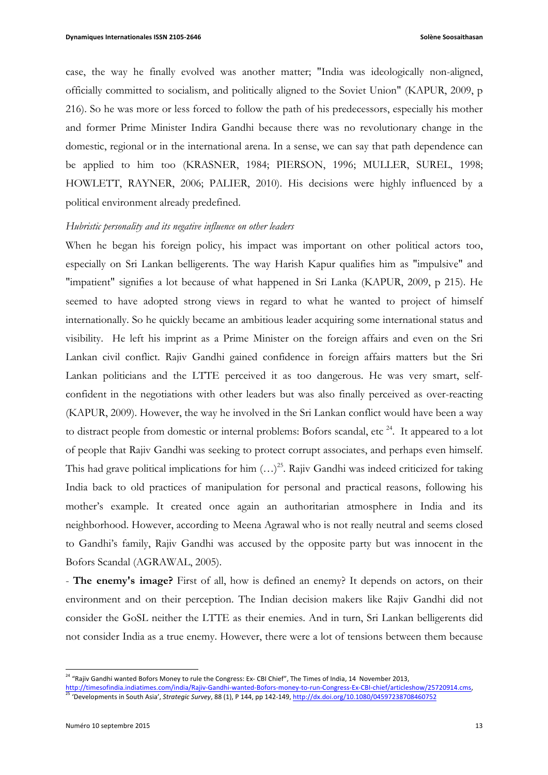case, the way he finally evolved was another matter; "India was ideologically non-aligned, officially committed to socialism, and politically aligned to the Soviet Union" (KAPUR, 2009, p 216). So he was more or less forced to follow the path of his predecessors, especially his mother and former Prime Minister Indira Gandhi because there was no revolutionary change in the domestic, regional or in the international arena. In a sense, we can say that path dependence can be applied to him too (KRASNER, 1984; PIERSON, 1996; MULLER, SUREL, 1998; HOWLETT, RAYNER, 2006; PALIER, 2010). His decisions were highly influenced by a political environment already predefined.

### *Hubristic personality and its negative influence on other leaders*

When he began his foreign policy, his impact was important on other political actors too, especially on Sri Lankan belligerents. The way Harish Kapur qualifies him as "impulsive" and "impatient" signifies a lot because of what happened in Sri Lanka (KAPUR, 2009, p 215). He seemed to have adopted strong views in regard to what he wanted to project of himself internationally. So he quickly became an ambitious leader acquiring some international status and visibility. He left his imprint as a Prime Minister on the foreign affairs and even on the Sri Lankan civil conflict. Rajiv Gandhi gained confidence in foreign affairs matters but the Sri Lankan politicians and the LTTE perceived it as too dangerous. He was very smart, selfconfident in the negotiations with other leaders but was also finally perceived as over-reacting (KAPUR, 2009). However, the way he involved in the Sri Lankan conflict would have been a way to distract people from domestic or internal problems: Bofors scandal, etc<sup>24</sup>. It appeared to a lot of people that Rajiv Gandhi was seeking to protect corrupt associates, and perhaps even himself. This had grave political implications for him  $(...)^{25}$ . Rajiv Gandhi was indeed criticized for taking India back to old practices of manipulation for personal and practical reasons, following his mother's example. It created once again an authoritarian atmosphere in India and its neighborhood. However, according to Meena Agrawal who is not really neutral and seems closed to Gandhi's family, Rajiv Gandhi was accused by the opposite party but was innocent in the Bofors Scandal (AGRAWAL, 2005).

- **The enemy's image?** First of all, how is defined an enemy? It depends on actors, on their environment and on their perception. The Indian decision makers like Rajiv Gandhi did not consider the GoSL neither the LTTE as their enemies. And in turn, Sri Lankan belligerents did not consider India as a true enemy. However, there were a lot of tensions between them because

<sup>25</sup> 'Developments in South Asia', *Strategic Survey*, 88 (1), P 144, pp 142-149, http://dx.doi.org/10.1080/04597238708460752

 $24$  "Rajiv Gandhi wanted Bofors Money to rule the Congress: Ex- CBI Chief", The Times of India, 14 November 2013,

http://timesofindia.indiatimes.com/india/Rajiv-Gandhi-wanted-Bofors-money-to-run-Congress-Ex-CBI-chief/articleshow/25720914.cms,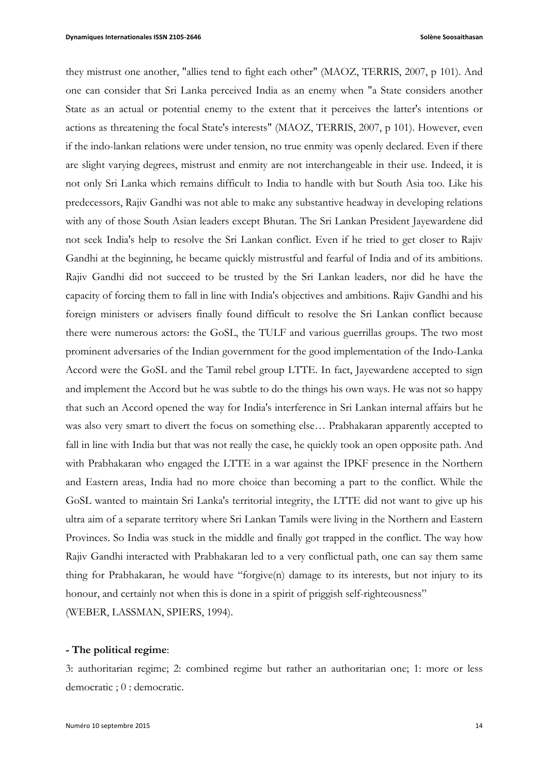they mistrust one another, "allies tend to fight each other" (MAOZ, TERRIS, 2007, p 101). And one can consider that Sri Lanka perceived India as an enemy when "a State considers another State as an actual or potential enemy to the extent that it perceives the latter's intentions or actions as threatening the focal State's interests" (MAOZ, TERRIS, 2007, p 101). However, even if the indo-lankan relations were under tension, no true enmity was openly declared. Even if there are slight varying degrees, mistrust and enmity are not interchangeable in their use. Indeed, it is not only Sri Lanka which remains difficult to India to handle with but South Asia too. Like his predecessors, Rajiv Gandhi was not able to make any substantive headway in developing relations with any of those South Asian leaders except Bhutan. The Sri Lankan President Jayewardene did not seek India's help to resolve the Sri Lankan conflict. Even if he tried to get closer to Rajiv Gandhi at the beginning, he became quickly mistrustful and fearful of India and of its ambitions. Rajiv Gandhi did not succeed to be trusted by the Sri Lankan leaders, nor did he have the capacity of forcing them to fall in line with India's objectives and ambitions. Rajiv Gandhi and his foreign ministers or advisers finally found difficult to resolve the Sri Lankan conflict because there were numerous actors: the GoSL, the TULF and various guerrillas groups. The two most prominent adversaries of the Indian government for the good implementation of the Indo-Lanka Accord were the GoSL and the Tamil rebel group LTTE. In fact, Jayewardene accepted to sign and implement the Accord but he was subtle to do the things his own ways. He was not so happy that such an Accord opened the way for India's interference in Sri Lankan internal affairs but he was also very smart to divert the focus on something else… Prabhakaran apparently accepted to fall in line with India but that was not really the case, he quickly took an open opposite path. And with Prabhakaran who engaged the LTTE in a war against the IPKF presence in the Northern and Eastern areas, India had no more choice than becoming a part to the conflict. While the GoSL wanted to maintain Sri Lanka's territorial integrity, the LTTE did not want to give up his ultra aim of a separate territory where Sri Lankan Tamils were living in the Northern and Eastern Provinces. So India was stuck in the middle and finally got trapped in the conflict. The way how Rajiv Gandhi interacted with Prabhakaran led to a very conflictual path, one can say them same thing for Prabhakaran, he would have "forgive(n) damage to its interests, but not injury to its honour, and certainly not when this is done in a spirit of priggish self-righteousness" (WEBER, LASSMAN, SPIERS, 1994).

#### **- The political regime**:

3: authoritarian regime; 2: combined regime but rather an authoritarian one; 1: more or less democratic ; 0 : democratic.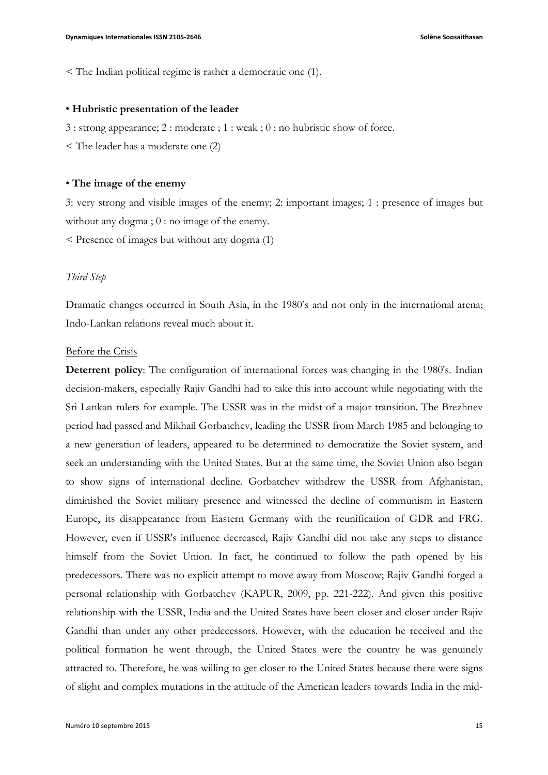< The Indian political regime is rather a democratic one (1).

#### • **Hubristic presentation of the leader**

3 : strong appearance; 2 : moderate ; 1 : weak ; 0 : no hubristic show of force.

< The leader has a moderate one (2)

#### • **The image of the enemy**

3: very strong and visible images of the enemy; 2: important images; 1 : presence of images but without any dogma;  $0:$  no image of the enemy.

< Presence of images but without any dogma (1)

### *Third Step*

Dramatic changes occurred in South Asia, in the 1980's and not only in the international arena; Indo-Lankan relations reveal much about it.

#### Before the Crisis

**Deterrent policy**: The configuration of international forces was changing in the 1980's. Indian decision-makers, especially Rajiv Gandhi had to take this into account while negotiating with the Sri Lankan rulers for example. The USSR was in the midst of a major transition. The Brezhnev period had passed and Mikhail Gorbatchev, leading the USSR from March 1985 and belonging to a new generation of leaders, appeared to be determined to democratize the Soviet system, and seek an understanding with the United States. But at the same time, the Soviet Union also began to show signs of international decline. Gorbatchev withdrew the USSR from Afghanistan, diminished the Soviet military presence and witnessed the decline of communism in Eastern Europe, its disappearance from Eastern Germany with the reunification of GDR and FRG. However, even if USSR's influence decreased, Rajiv Gandhi did not take any steps to distance himself from the Soviet Union. In fact, he continued to follow the path opened by his predecessors. There was no explicit attempt to move away from Moscow; Rajiv Gandhi forged a personal relationship with Gorbatchev (KAPUR, 2009, pp. 221-222). And given this positive relationship with the USSR, India and the United States have been closer and closer under Rajiv Gandhi than under any other predecessors. However, with the education he received and the political formation he went through, the United States were the country he was genuinely attracted to. Therefore, he was willing to get closer to the United States because there were signs of slight and complex mutations in the attitude of the American leaders towards India in the mid-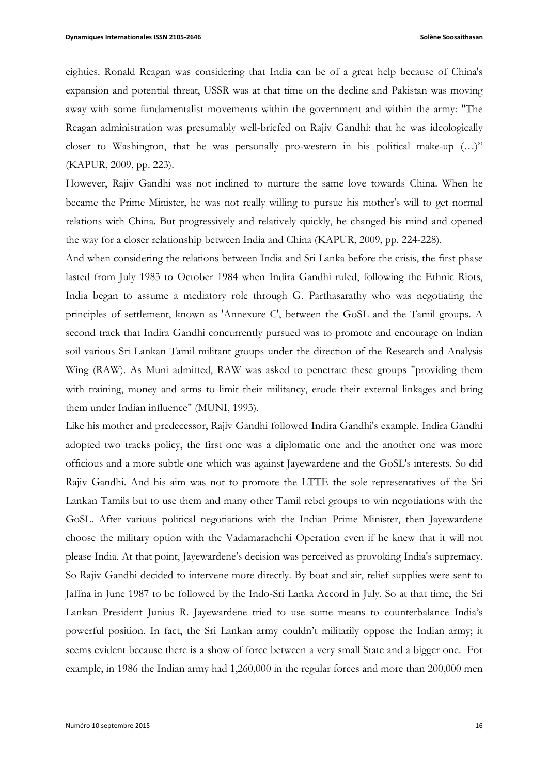eighties. Ronald Reagan was considering that India can be of a great help because of China's expansion and potential threat, USSR was at that time on the decline and Pakistan was moving away with some fundamentalist movements within the government and within the army: "The Reagan administration was presumably well-briefed on Rajiv Gandhi: that he was ideologically closer to Washington, that he was personally pro-western in his political make-up (…)" (KAPUR, 2009, pp. 223).

However, Rajiv Gandhi was not inclined to nurture the same love towards China. When he became the Prime Minister, he was not really willing to pursue his mother's will to get normal relations with China. But progressively and relatively quickly, he changed his mind and opened the way for a closer relationship between India and China (KAPUR, 2009, pp. 224-228).

And when considering the relations between India and Sri Lanka before the crisis, the first phase lasted from July 1983 to October 1984 when Indira Gandhi ruled, following the Ethnic Riots, India began to assume a mediatory role through G. Parthasarathy who was negotiating the principles of settlement, known as 'Annexure C', between the GoSL and the Tamil groups. A second track that Indira Gandhi concurrently pursued was to promote and encourage on lndian soil various Sri Lankan Tamil militant groups under the direction of the Research and Analysis Wing (RAW). As Muni admitted, RAW was asked to penetrate these groups "providing them with training, money and arms to limit their militancy, erode their external linkages and bring them under Indian influence" (MUNI, 1993).

Like his mother and predecessor, Rajiv Gandhi followed Indira Gandhi's example. Indira Gandhi adopted two tracks policy, the first one was a diplomatic one and the another one was more officious and a more subtle one which was against Jayewardene and the GoSL's interests. So did Rajiv Gandhi. And his aim was not to promote the LTTE the sole representatives of the Sri Lankan Tamils but to use them and many other Tamil rebel groups to win negotiations with the GoSL. After various political negotiations with the Indian Prime Minister, then Jayewardene choose the military option with the Vadamarachchi Operation even if he knew that it will not please India. At that point, Jayewardene's decision was perceived as provoking India's supremacy. So Rajiv Gandhi decided to intervene more directly. By boat and air, relief supplies were sent to Jaffna in June 1987 to be followed by the Indo-Sri Lanka Accord in July. So at that time, the Sri Lankan President Junius R. Jayewardene tried to use some means to counterbalance India's powerful position. In fact, the Sri Lankan army couldn't militarily oppose the Indian army; it seems evident because there is a show of force between a very small State and a bigger one. For example, in 1986 the Indian army had 1,260,000 in the regular forces and more than 200,000 men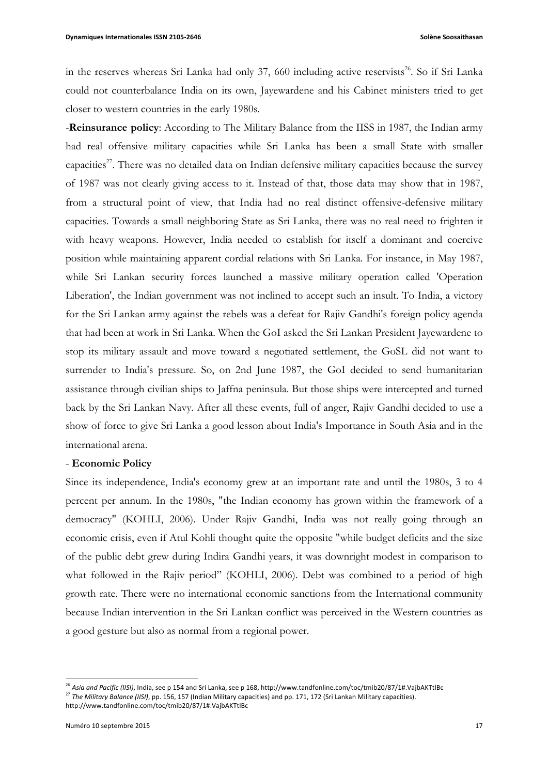in the reserves whereas Sri Lanka had only 37, 660 including active reservists<sup>26</sup>. So if Sri Lanka could not counterbalance India on its own, Jayewardene and his Cabinet ministers tried to get closer to western countries in the early 1980s.

-**Reinsurance policy**: According to The Military Balance from the IISS in 1987, the Indian army had real offensive military capacities while Sri Lanka has been a small State with smaller capacities<sup>27</sup>. There was no detailed data on Indian defensive military capacities because the survey of 1987 was not clearly giving access to it. Instead of that, those data may show that in 1987, from a structural point of view, that India had no real distinct offensive-defensive military capacities. Towards a small neighboring State as Sri Lanka, there was no real need to frighten it with heavy weapons. However, India needed to establish for itself a dominant and coercive position while maintaining apparent cordial relations with Sri Lanka. For instance, in May 1987, while Sri Lankan security forces launched a massive military operation called 'Operation Liberation', the Indian government was not inclined to accept such an insult. To India, a victory for the Sri Lankan army against the rebels was a defeat for Rajiv Gandhi's foreign policy agenda that had been at work in Sri Lanka. When the GoI asked the Sri Lankan President Jayewardene to stop its military assault and move toward a negotiated settlement, the GoSL did not want to surrender to India's pressure. So, on 2nd June 1987, the GoI decided to send humanitarian assistance through civilian ships to Jaffna peninsula. But those ships were intercepted and turned back by the Sri Lankan Navy. After all these events, full of anger, Rajiv Gandhi decided to use a show of force to give Sri Lanka a good lesson about India's Importance in South Asia and in the international arena.

#### - **Economic Policy**

Since its independence, India's economy grew at an important rate and until the 1980s, 3 to 4 percent per annum. In the 1980s, "the Indian economy has grown within the framework of a democracy" (KOHLI, 2006). Under Rajiv Gandhi, India was not really going through an economic crisis, even if Atul Kohli thought quite the opposite "while budget deficits and the size of the public debt grew during Indira Gandhi years, it was downright modest in comparison to what followed in the Rajiv period" (KOHLI, 2006). Debt was combined to a period of high growth rate. There were no international economic sanctions from the International community because Indian intervention in the Sri Lankan conflict was perceived in the Western countries as a good gesture but also as normal from a regional power.

<sup>&</sup>lt;sup>26</sup> As*ia and Pacific (IISI)*, India, see p 154 and Sri Lanka, see p 168, http://www.tandfonline.com/toc/tmib20/87/1#.VajbAKTtlBc <sup>27</sup> The Military Balance (IISI), pp. 156, 157 (Indian Military capacities) and pp. 171, 172 (Sri Lankan Military capacities). http://www.tandfonline.com/toc/tmib20/87/1#.VajbAKTtlBc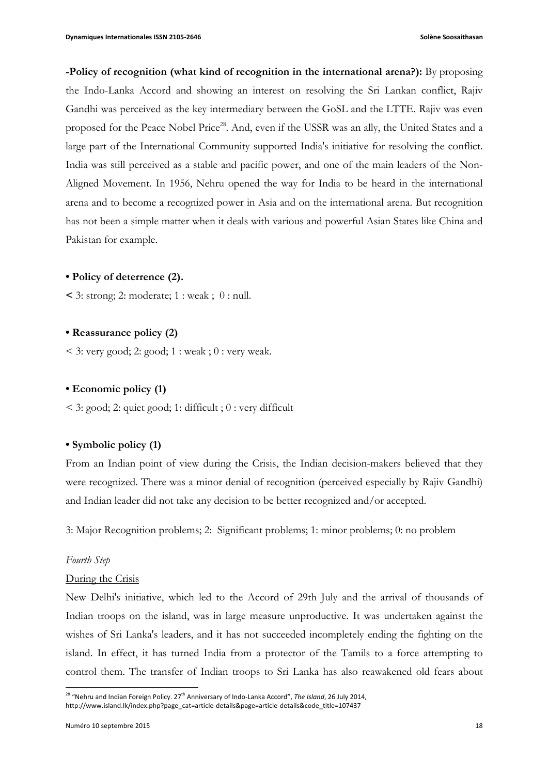**-Policy of recognition (what kind of recognition in the international arena?):** By proposing the Indo-Lanka Accord and showing an interest on resolving the Sri Lankan conflict, Rajiv Gandhi was perceived as the key intermediary between the GoSL and the LTTE. Rajiv was even proposed for the Peace Nobel Price<sup>28</sup>. And, even if the USSR was an ally, the United States and a large part of the International Community supported India's initiative for resolving the conflict. India was still perceived as a stable and pacific power, and one of the main leaders of the Non-Aligned Movement. In 1956, Nehru opened the way for India to be heard in the international arena and to become a recognized power in Asia and on the international arena. But recognition has not been a simple matter when it deals with various and powerful Asian States like China and Pakistan for example.

### **• Policy of deterrence (2).**

**<** 3: strong; 2: moderate; 1 : weak ; 0 : null.

#### **• Reassurance policy (2)**

 $\leq$  3: very good; 2: good; 1 : weak ; 0 : very weak.

## **• Economic policy (1)**

 $\leq$  3: good; 2: quiet good; 1: difficult ; 0 : very difficult

#### **• Symbolic policy (1)**

From an Indian point of view during the Crisis, the Indian decision-makers believed that they were recognized. There was a minor denial of recognition (perceived especially by Rajiv Gandhi) and Indian leader did not take any decision to be better recognized and/or accepted.

3: Major Recognition problems; 2: Significant problems; 1: minor problems; 0: no problem

#### *Fourth Step*

#### During the Crisis

New Delhi's initiative, which led to the Accord of 29th July and the arrival of thousands of Indian troops on the island, was in large measure unproductive. It was undertaken against the wishes of Sri Lanka's leaders, and it has not succeeded incompletely ending the fighting on the island. In effect, it has turned India from a protector of the Tamils to a force attempting to control them. The transfer of Indian troops to Sri Lanka has also reawakened old fears about

<sup>&</sup>lt;sup>28</sup> "Nehru and Indian Foreign Policy. 27<sup>th</sup> Anniversary of Indo-Lanka Accord", *The Island*, 26 July 2014, http://www.island.lk/index.php?page\_cat=article-details&page=article-details&code\_title=107437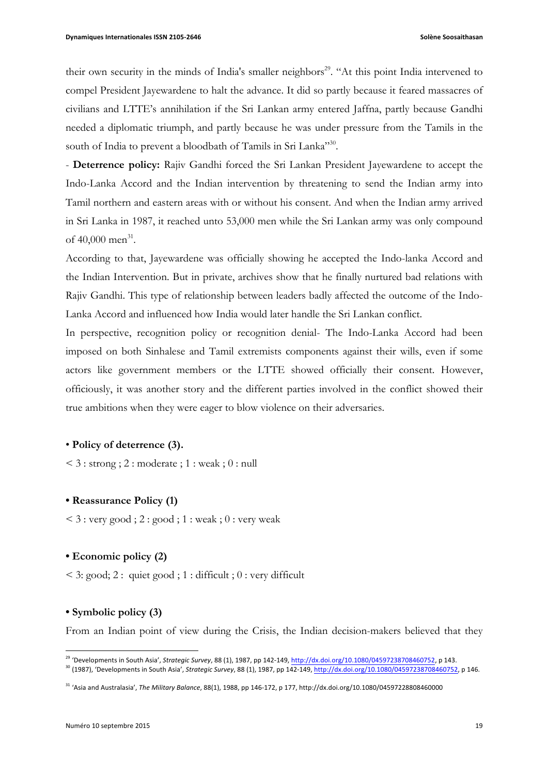their own security in the minds of India's smaller neighbors<sup>29</sup>. "At this point India intervened to compel President Jayewardene to halt the advance. It did so partly because it feared massacres of civilians and LTTE's annihilation if the Sri Lankan army entered Jaffna, partly because Gandhi needed a diplomatic triumph, and partly because he was under pressure from the Tamils in the south of India to prevent a bloodbath of Tamils in Sri Lanka"30.

- **Deterrence policy:** Rajiv Gandhi forced the Sri Lankan President Jayewardene to accept the Indo-Lanka Accord and the Indian intervention by threatening to send the Indian army into Tamil northern and eastern areas with or without his consent. And when the Indian army arrived in Sri Lanka in 1987, it reached unto 53,000 men while the Sri Lankan army was only compound of  $40,000$  men<sup>31</sup>.

According to that, Jayewardene was officially showing he accepted the Indo-lanka Accord and the Indian Intervention. But in private, archives show that he finally nurtured bad relations with Rajiv Gandhi. This type of relationship between leaders badly affected the outcome of the Indo-Lanka Accord and influenced how India would later handle the Sri Lankan conflict.

In perspective, recognition policy or recognition denial- The Indo-Lanka Accord had been imposed on both Sinhalese and Tamil extremists components against their wills, even if some actors like government members or the LTTE showed officially their consent. However, officiously, it was another story and the different parties involved in the conflict showed their true ambitions when they were eager to blow violence on their adversaries.

#### • **Policy of deterrence (3).**

 $\leq$  3 : strong ; 2 : moderate ; 1 : weak ; 0 : null

#### **• Reassurance Policy (1)**

 $<$  3 : very good ; 2 : good ; 1 : weak ; 0 : very weak

#### **• Economic policy (2)**

 $\leq$  3: good; 2 : quiet good ; 1 : difficult ; 0 : very difficult

#### **• Symbolic policy (3)**

 

From an Indian point of view during the Crisis, the Indian decision-makers believed that they

<sup>&</sup>lt;sup>29</sup> 'Developments in South Asia', *Strategic Survey*, 88 (1), 1987, pp 142-149, http://dx.doi.org/10.1080/04597238708460752, p 143.

<sup>&</sup>lt;sup>30</sup> (1987), 'Developments in South Asia', *Strategic Survey*, 88 (1), 1987, pp 142-149, http://dx.doi.org/10.1080/04597238708460752, p 146.

<sup>&</sup>lt;sup>31</sup> 'Asia and Australasia', The Military Balance, 88(1), 1988, pp 146-172, p 177, http://dx.doi.org/10.1080/04597228808460000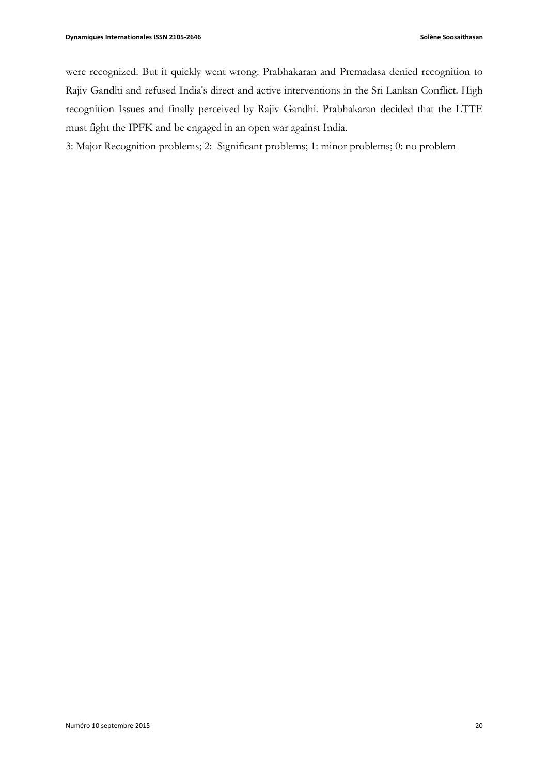were recognized. But it quickly went wrong. Prabhakaran and Premadasa denied recognition to Rajiv Gandhi and refused India's direct and active interventions in the Sri Lankan Conflict. High recognition Issues and finally perceived by Rajiv Gandhi. Prabhakaran decided that the LTTE must fight the IPFK and be engaged in an open war against India.

3: Major Recognition problems; 2: Significant problems; 1: minor problems; 0: no problem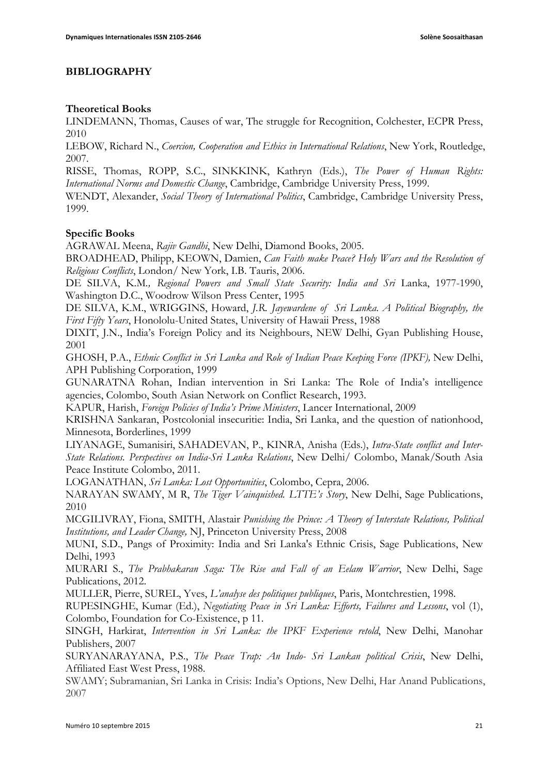## **BIBLIOGRAPHY**

## **Theoretical Books**

LINDEMANN, Thomas, Causes of war, The struggle for Recognition, Colchester, ECPR Press, 2010

LEBOW, Richard N., *Coercion, Cooperation and Ethics in International Relations*, New York, Routledge, 2007.

RISSE, Thomas, ROPP, S.C., SINKKINK, Kathryn (Eds.), *The Power of Human Rights: International Norms and Domestic Change*, Cambridge, Cambridge University Press, 1999.

WENDT, Alexander, *Social Theory of International Politics*, Cambridge, Cambridge University Press, 1999.

## **Specific Books**

AGRAWAL Meena, *Rajiv Gandhi*, New Delhi, Diamond Books, 2005.

BROADHEAD, Philipp, KEOWN, Damien, *Can Faith make Peace? Holy Wars and the Resolution of Religious Conflicts*, London/ New York, I.B. Tauris, 2006.

DE SILVA, K.M*., Regional Powers and Small State Security: India and Sri* Lanka, 1977-1990, Washington D.C., Woodrow Wilson Press Center, 1995

DE SILVA, K.M., WRIGGINS, Howard, *J.R. Jayewardene of Sri Lanka. A Political Biography, the First Fifty Years*, Honololu-United States, University of Hawaii Press, 1988

DIXIT, J.N., India's Foreign Policy and its Neighbours, NEW Delhi, Gyan Publishing House, 2001

GHOSH, P.A., *Ethnic Conflict in Sri Lanka and Role of Indian Peace Keeping Force (IPKF),* New Delhi, APH Publishing Corporation, 1999

GUNARATNA Rohan, Indian intervention in Sri Lanka: The Role of India's intelligence agencies, Colombo, South Asian Network on Conflict Research, 1993.

KAPUR, Harish, *Foreign Policies of India's Prime Ministers*, Lancer International, 2009

KRISHNA Sankaran, Postcolonial insecuritie: India, Sri Lanka, and the question of nationhood, Minnesota, Borderlines, 1999

LIYANAGE, Sumanisiri, SAHADEVAN, P., KINRA, Anisha (Eds.), *Intra-State conflict and Inter-State Relations. Perspectives on India-Sri Lanka Relations*, New Delhi/ Colombo, Manak/South Asia Peace Institute Colombo, 2011.

LOGANATHAN, *Sri Lanka: Lost Opportunities*, Colombo, Cepra, 2006.

NARAYAN SWAMY, M R, *The Tiger Vainquished. LTTE's Story*, New Delhi, Sage Publications, 2010

MCGILIVRAY, Fiona, SMITH, Alastair *Punishing the Prince: A Theory of Interstate Relations, Political Institutions, and Leader Change,* NJ, Princeton University Press, 2008

MUNI, S.D., Pangs of Proximity: India and Sri Lanka's Ethnic Crisis, Sage Publications, New Delhi, 1993

MURARI S., *The Prabhakaran Saga: The Rise and Fall of an Eelam Warrior*, New Delhi, Sage Publications, 2012.

MULLER, Pierre, SUREL, Yves, *L'analyse des politiques publiques*, Paris, Montchrestien, 1998.

RUPESINGHE, Kumar (Ed.), *Negotiating Peace in Sri Lanka: Efforts, Failures and Lessons*, vol (1), Colombo, Foundation for Co-Existence, p 11.

SINGH, Harkirat, *Intervention in Sri Lanka: the IPKF Experience retold*, New Delhi, Manohar Publishers, 2007

SURYANARAYANA, P.S., *The Peace Trap: An Indo- Sri Lankan political Crisis*, New Delhi, Affiliated East West Press, 1988.

SWAMY; Subramanian, Sri Lanka in Crisis: India's Options, New Delhi, Har Anand Publications, 2007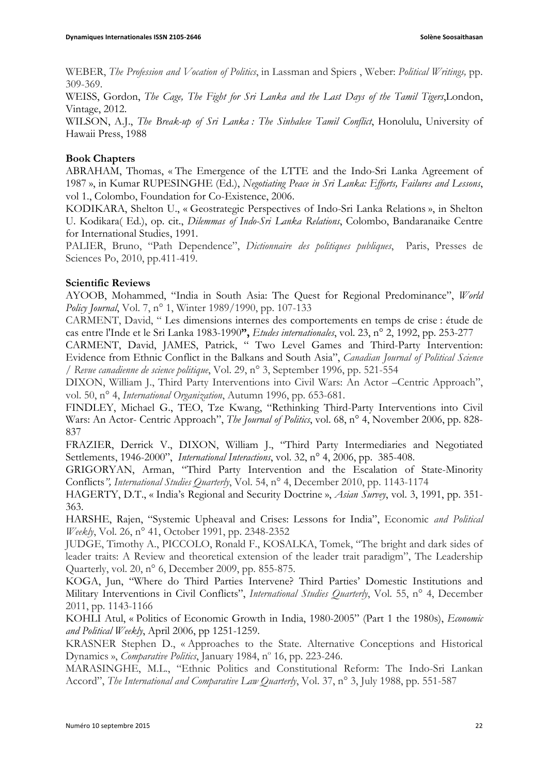WEBER, *The Profession and Vocation of Politics*, in Lassman and Spiers , Weber: *Political Writings,* pp. 309-369.

WEISS, Gordon, *The Cage, The Fight for Sri Lanka and the Last Days of the Tamil Tigers*,London, Vintage, 2012.

WILSON, A.J., *The Break-up of Sri Lanka : The Sinhalese Tamil Conflict*, Honolulu, University of Hawaii Press, 1988

## **Book Chapters**

ABRAHAM, Thomas, « The Emergence of the LTTE and the Indo-Sri Lanka Agreement of 1987 », in Kumar RUPESINGHE (Ed.), *Negotiating Peace in Sri Lanka: Efforts, Failures and Lessons*, vol 1., Colombo, Foundation for Co-Existence, 2006.

KODIKARA, Shelton U., « Geostrategic Perspectives of Indo-Sri Lanka Relations », in Shelton U. Kodikara( Ed.), op. cit., *Dilemmas of Indo-Sri Lanka Relations*, Colombo, Bandaranaike Centre for International Studies, 1991.

PALIER, Bruno, "Path Dependence", *Dictionnaire des politiques publiques*, Paris, Presses de Sciences Po, 2010, pp.411-419.

## **Scientific Reviews**

AYOOB, Mohammed, "India in South Asia: The Quest for Regional Predominance", *World Policy Journal*, Vol. 7, n° 1, Winter 1989/1990, pp. 107-133

CARMENT, David, " Les dimensions internes des comportements en temps de crise : étude de cas entre l'Inde et le Sri Lanka 1983-1990**",** *Etudes internationales*, vol. 23, n° 2, 1992, pp. 253-277

CARMENT, David, JAMES, Patrick, " Two Level Games and Third-Party Intervention: Evidence from Ethnic Conflict in the Balkans and South Asia", *Canadian Journal of Political Science / Revue canadienne de science politique*, Vol. 29, n° 3, September 1996, pp. 521-554

DIXON, William J., Third Party Interventions into Civil Wars: An Actor –Centric Approach", vol. 50, n° 4, *International Organization*, Autumn 1996, pp. 653-681.

FINDLEY, Michael G., TEO, Tze Kwang, "Rethinking Third-Party Interventions into Civil Wars: An Actor- Centric Approach", *The Journal of Politics*, vol. 68, n° 4, November 2006, pp. 828- 837

FRAZIER, Derrick V., DIXON, William J., "Third Party Intermediaries and Negotiated Settlements, 1946-2000", *International Interactions*, vol. 32, n° 4, 2006, pp. 385-408.

GRIGORYAN, Arman, "Third Party Intervention and the Escalation of State-Minority Conflicts*", International Studies Quarterly*, Vol. 54, n° 4, December 2010, pp. 1143-1174

HAGERTY, D.T., « India's Regional and Security Doctrine », *Asian Survey*, vol. 3, 1991, pp. 351- 363.

HARSHE, Rajen, "Systemic Upheaval and Crises: Lessons for India", Economic *and Political Weekly*, Vol. 26, n° 41, October 1991, pp. 2348-2352

JUDGE, Timothy A., PICCOLO, Ronald F., KOSALKA, Tomek, "The bright and dark sides of leader traits: A Review and theoretical extension of the leader trait paradigm", The Leadership Quarterly, vol. 20, n° 6, December 2009, pp. 855-875.

KOGA, Jun, "Where do Third Parties Intervene? Third Parties' Domestic Institutions and Military Interventions in Civil Conflicts", *International Studies Quarterly*, Vol. 55, n° 4, December 2011, pp. 1143-1166

KOHLI Atul, « Politics of Economic Growth in India, 1980-2005" (Part 1 the 1980s), *Economic and Political Weekly*, April 2006, pp 1251-1259.

KRASNER Stephen D., « Approaches to the State. Alternative Conceptions and Historical Dynamics », *Comparative Politics*, January 1984, n° 16, pp. 223-246.

MARASINGHE, M.L., "Ethnic Politics and Constitutional Reform: The Indo-Sri Lankan Accord", *The International and Comparative Law Quarterly*, Vol. 37, n° 3, July 1988, pp. 551-587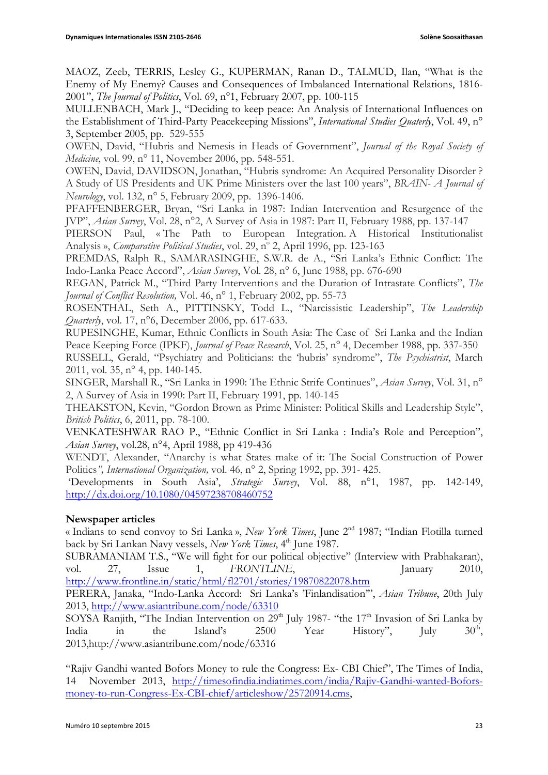MAOZ, Zeeb, TERRIS, Lesley G., KUPERMAN, Ranan D., TALMUD, Ilan, "What is the Enemy of My Enemy? Causes and Consequences of Imbalanced International Relations, 1816- 2001", *The Journal of Politics*, Vol. 69, n°1, February 2007, pp. 100-115

MULLENBACH, Mark J., "Deciding to keep peace: An Analysis of International Influences on the Establishment of Third-Party Peacekeeping Missions", *International Studies Quaterly*, Vol. 49, n° 3, September 2005, pp. 529-555

OWEN, David, "Hubris and Nemesis in Heads of Government", *Journal of the Royal Society of Medicine*, vol. 99, n° 11, November 2006, pp. 548-551.

OWEN, David, DAVIDSON, Jonathan, "Hubris syndrome: An Acquired Personality Disorder ? A Study of US Presidents and UK Prime Ministers over the last 100 years", *BRAIN- A Journal of Neurology*, vol. 132, n° 5, February 2009, pp. 1396-1406.

PFAFFENBERGER, Bryan, "Sri Lanka in 1987: Indian Intervention and Resurgence of the JVP", *Asian Survey*, Vol. 28, n°2, A Survey of Asia in 1987: Part II, February 1988, pp. 137-147

PIERSON Paul, « The Path to European Integration. A Historical Institutionalist Analysis », *Comparative Political Studies*, vol. 29, nº 2, April 1996, pp. 123-163

PREMDAS, Ralph R., SAMARASINGHE, S.W.R. de A., "Sri Lanka's Ethnic Conflict: The Indo-Lanka Peace Accord", *Asian Survey*, Vol. 28, n° 6, June 1988, pp. 676-690

REGAN, Patrick M., "Third Party Interventions and the Duration of Intrastate Conflicts", *The Journal of Conflict Resolution,* Vol. 46, n° 1, February 2002, pp. 55-73

ROSENTHAL, Seth A., PITTINSKY, Todd L., "Narcissistic Leadership", *The Leadership Quarterly*, vol. 17, n°6, December 2006, pp. 617-633.

RUPESINGHE, Kumar, Ethnic Conflicts in South Asia: The Case of Sri Lanka and the Indian Peace Keeping Force (IPKF), *Journal of Peace Research*, Vol. 25, n° 4, December 1988, pp. 337-350

RUSSELL, Gerald, "Psychiatry and Politicians: the 'hubris' syndrome", *The Psychiatrist*, March 2011, vol. 35, n° 4, pp. 140-145.

SINGER, Marshall R., "Sri Lanka in 1990: The Ethnic Strife Continues", *Asian Survey*, Vol. 31, n° 2, A Survey of Asia in 1990: Part II, February 1991, pp. 140-145

THEAKSTON, Kevin, "Gordon Brown as Prime Minister: Political Skills and Leadership Style", *British Politics*, 6, 2011, pp. 78-100.

VENKATESHWAR RAO P., "Ethnic Conflict in Sri Lanka : India's Role and Perception", *Asian Survey*, vol.28, n°4, April 1988, pp 419-436

WENDT, Alexander, "Anarchy is what States make of it: The Social Construction of Power Politics*", International Organization,* vol. 46, n° 2, Spring 1992, pp. 391- 425.

'Developments in South Asia', *Strategic Survey*, Vol. 88, n°1, 1987, pp. 142-149, http://dx.doi.org/10.1080/04597238708460752

## **Newspaper articles**

« Indians to send convoy to Sri Lanka », *New York Times*, June 2<sup>nd</sup> 1987; "Indian Flotilla turned back by Sri Lankan Navy vessels, *New York Times*, 4<sup>th</sup> June 1987.

SUBRAMANIAM T.S., "We will fight for our political objective" (Interview with Prabhakaran), vol. 27, Issue 1, *FRONTLINE*, January 2010, http://www.frontline.in/static/html/fl2701/stories/19870822078.htm

PERERA, Janaka, "Indo-Lanka Accord: Sri Lanka's 'Finlandisation'", *Asian Tribune*, 20th July 2013, http://www.asiantribune.com/node/63310

SOYSA Ranjith, "The Indian Intervention on 29<sup>th</sup> July 1987- "the 17<sup>th</sup> Invasion of Sri Lanka by India in the Island's  $2500$  Year History", July  $30^{\text{th}}$ , 2013,http://www.asiantribune.com/node/63316

"Rajiv Gandhi wanted Bofors Money to rule the Congress: Ex- CBI Chief", The Times of India, 14 November 2013, http://timesofindia.indiatimes.com/india/Rajiv-Gandhi-wanted-Boforsmoney-to-run-Congress-Ex-CBI-chief/articleshow/25720914.cms,